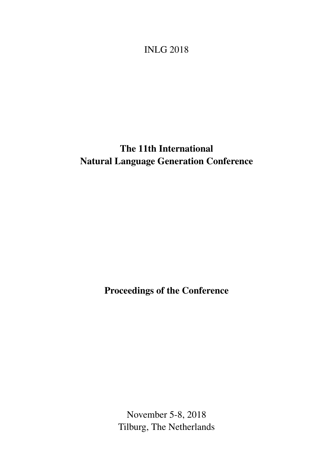<span id="page-0-0"></span>INLG 2018

# The 11th International Natural Language Generation Conference

Proceedings of the Conference

November 5-8, 2018 Tilburg, The Netherlands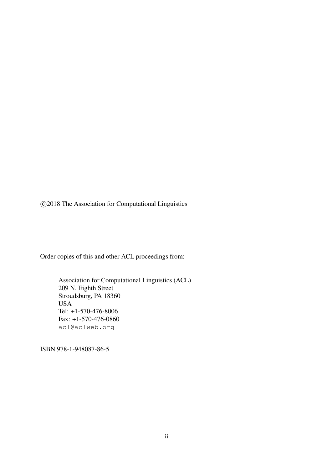c 2018 The Association for Computational Linguistics

Order copies of this and other ACL proceedings from:

Association for Computational Linguistics (ACL) 209 N. Eighth Street Stroudsburg, PA 18360 USA Tel: +1-570-476-8006 Fax: +1-570-476-0860 acl@aclweb.org

ISBN 978-1-948087-86-5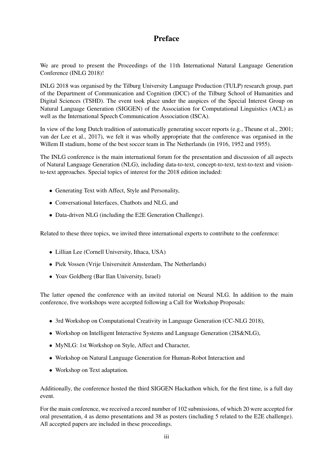# Preface

We are proud to present the Proceedings of the 11th International Natural Language Generation Conference (INLG 2018)!

INLG 2018 was organised by the Tilburg University Language Production (TULP) research group, part of the Department of Communication and Cognition (DCC) of the Tilburg School of Humanities and Digital Sciences (TSHD). The event took place under the auspices of the Special Interest Group on Natural Language Generation (SIGGEN) of the Association for Computational Linguistics (ACL) as well as the International Speech Communication Association (ISCA).

In view of the long Dutch tradition of automatically generating soccer reports (e.g., Theune et al., 2001; van der Lee et al., 2017), we felt it was wholly appropriate that the conference was organised in the Willem II stadium, home of the best soccer team in The Netherlands (in 1916, 1952 and 1955).

The INLG conference is the main international forum for the presentation and discussion of all aspects of Natural Language Generation (NLG), including data-to-text, concept-to-text, text-to-text and visionto-text approaches. Special topics of interest for the 2018 edition included:

- Generating Text with Affect, Style and Personality,
- Conversational Interfaces, Chatbots and NLG, and
- Data-driven NLG (including the E2E Generation Challenge).

Related to these three topics, we invited three international experts to contribute to the conference:

- Lillian Lee (Cornell University, Ithaca, USA)
- Piek Vossen (Vrije Universiteit Amsterdam, The Netherlands)
- Yoav Goldberg (Bar Ilan University, Israel)

The latter opened the conference with an invited tutorial on Neural NLG. In addition to the main conference, five workshops were accepted following a Call for Workshop Proposals:

- 3rd Workshop on Computational Creativity in Language Generation (CC-NLG 2018),
- Workshop on Intelligent Interactive Systems and Language Generation (2IS&NLG),
- MyNLG: 1st Workshop on Style, Affect and Character,
- Workshop on Natural Language Generation for Human-Robot Interaction and
- Workshop on Text adaptation.

Additionally, the conference hosted the third SIGGEN Hackathon which, for the first time, is a full day event.

For the main conference, we received a record number of 102 submissions, of which 20 were accepted for oral presentation, 4 as demo presentations and 38 as posters (including 5 related to the E2E challenge). All accepted papers are included in these proceedings.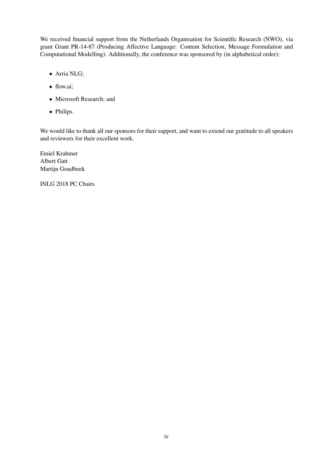We received financial support from the Netherlands Organisation for Scientific Research (NWO), via grant Grant PR-14-87 (Producing Affective Language: Content Selection, Message Formulation and Computational Modelling). Additionally, the conference was sponsored by (in alphabetical order):

- Arria NLG;
- flow.ai;
- Microsoft Research; and
- Philips.

We would like to thank all our sponsors for their support, and want to extend our gratitude to all speakers and reviewers for their excellent work.

Emiel Krahmer Albert Gatt Martijn Goudbeek

INLG 2018 PC Chairs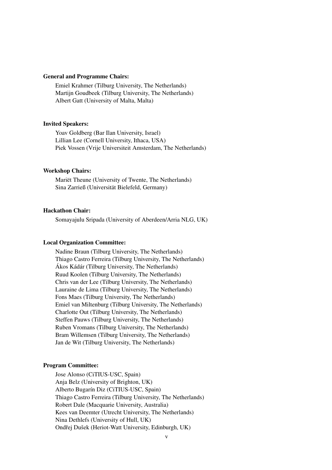### General and Programme Chairs:

Emiel Krahmer (Tilburg University, The Netherlands) Martijn Goudbeek (Tilburg University, The Netherlands) Albert Gatt (University of Malta, Malta)

#### Invited Speakers:

Yoav Goldberg (Bar Ilan University, Israel) Lillian Lee (Cornell University, Ithaca, USA) Piek Vossen (Vrije Universiteit Amsterdam, The Netherlands)

### Workshop Chairs:

Mariët Theune (University of Twente, The Netherlands) Sina Zarrieß (Universität Bielefeld, Germany)

### Hackathon Chair:

Somayajulu Sripada (University of Aberdeen/Arria NLG, UK)

### Local Organization Committee:

Nadine Braun (Tilburg University, The Netherlands) Thiago Castro Ferreira (Tilburg University, The Netherlands) Ákos Kádár (Tilburg University, The Netherlands) Ruud Koolen (Tilburg University, The Netherlands) Chris van der Lee (Tilburg University, The Netherlands) Lauraine de Lima (Tilburg University, The Netherlands) Fons Maes (Tilburg University, The Netherlands) Emiel van Miltenburg (Tilburg University, The Netherlands) Charlotte Out (Tilburg University, The Netherlands) Steffen Pauws (Tilburg University, The Netherlands) Ruben Vromans (Tilburg University, The Netherlands) Bram Willemsen (Tilburg University, The Netherlands) Jan de Wit (Tilburg University, The Netherlands)

### Program Committee:

Jose Alonso (CiTIUS-USC, Spain) Anja Belz (University of Brighton, UK) Alberto Bugarín Diz (CiTIUS-USC, Spain) Thiago Castro Ferreira (Tilburg University, The Netherlands) Robert Dale (Macquarie University, Australia) Kees van Deemter (Utrecht University, The Netherlands) Nina Dethlefs (University of Hull, UK) Ondřej Dušek (Heriot-Watt University, Edinburgh, UK)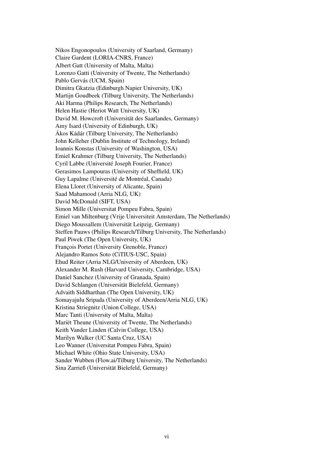Nikos Engonopoulos (University of Saarland, Germany) Claire Gardent (LORIA-CNRS, France) Albert Gatt (University of Malta, Malta) Lorenzo Gatti (University of Twente, The Netherlands) Pablo Gervás (UCM, Spain) Dimitra Gkatzia (Edinburgh Napier University, UK) Martijn Goudbeek (Tilburg University, The Netherlands) Aki Harma (Philips Research, The Netherlands) Helen Hastie (Heriot Watt University, UK) David M. Howcroft (Universität des Saarlandes, Germany) Amy Isard (University of Edinburgh, UK) Ákos Kádár (Tilburg University, The Netherlands) John Kelleher (Dublin Institute of Technology, Ireland) Ioannis Konstas (University of Washington, USA) Emiel Krahmer (Tilburg University, The Netherlands) Cyril Labbe (Université Joseph Fourier, France) Gerasimos Lampouras (University of Sheffield, UK) Guy Lapalme (Université de Montréal, Canada) Elena Lloret (University of Alicante, Spain) Saad Mahamood (Arria NLG, UK) David McDonald (SIFT, USA) Simon Mille (Universitat Pompeu Fabra, Spain) Emiel van Miltenburg (Vrije Universiteit Amsterdam, The Netherlands) Diego Moussallem (Universität Leipzig, Germany) Steffen Pauws (Philips Research/Tilburg University, The Netherlands) Paul Piwek (The Open University, UK) François Portet (University Grenoble, France) Alejandro Ramos Soto (CiTIUS-USC, Spain) Ehud Reiter (Arria NLG/University of Aberdeen, UK) Alexander M. Rush (Harvard University, Cambridge, USA) Daniel Sanchez (University of Granada, Spain) David Schlangen (Universität Bielefeld, Germany) Advaith Siddharthan (The Open University, UK) Somayajulu Sripada (University of Aberdeen/Arria NLG, UK) Kristina Striegnitz (Union College, USA) Marc Tanti (University of Malta, Malta) Mariët Theune (University of Twente, The Netherlands) Keith Vander Linden (Calvin College, USA) Marilyn Walker (UC Santa Cruz, USA) Leo Wanner (Universitat Pompeu Fabra, Spain) Michael White (Ohio State University, USA) Sander Wubben (Flow.ai/Tilburg University, The Netherlands) Sina Zarrieß (Universität Bielefeld, Germany)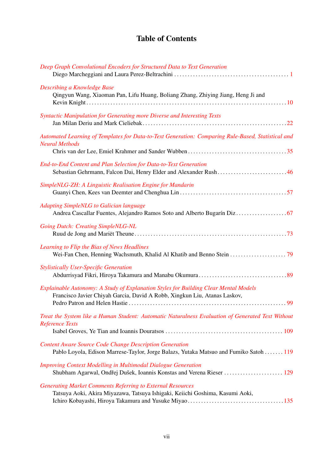# Table of Contents

| Deep Graph Convolutional Encoders for Structured Data to Text Generation                                                                                          |
|-------------------------------------------------------------------------------------------------------------------------------------------------------------------|
| Describing a Knowledge Base<br>Qingyun Wang, Xiaoman Pan, Lifu Huang, Boliang Zhang, Zhiying Jiang, Heng Ji and                                                   |
| Syntactic Manipulation for Generating more Diverse and Interesting Texts                                                                                          |
| Automated Learning of Templates for Data-to-Text Generation: Comparing Rule-Based, Statistical and<br><b>Neural Methods</b>                                       |
| End-to-End Content and Plan Selection for Data-to-Text Generation<br>Sebastian Gehrmann, Falcon Dai, Henry Elder and Alexander Rush46                             |
| SimpleNLG-ZH: A Linguistic Realisation Engine for Mandarin                                                                                                        |
| <b>Adapting SimpleNLG to Galician language</b>                                                                                                                    |
| <b>Going Dutch: Creating SimpleNLG-NL</b>                                                                                                                         |
| Learning to Flip the Bias of News Headlines                                                                                                                       |
| <b>Stylistically User-Specific Generation</b>                                                                                                                     |
| Explainable Autonomy: A Study of Explanation Styles for Building Clear Mental Models<br>Francisco Javier Chiyah Garcia, David A Robb, Xingkun Liu, Atanas Laskov, |
| Treat the System like a Human Student: Automatic Naturalness Evaluation of Generated Text Without<br><b>Reference Texts</b>                                       |
| <b>Content Aware Source Code Change Description Generation</b><br>Pablo Loyola, Edison Marrese-Taylor, Jorge Balazs, Yutaka Matsuo and Fumiko Satoh 119           |
| <b>Improving Context Modelling in Multimodal Dialogue Generation</b>                                                                                              |
| <b>Generating Market Comments Referring to External Resources</b><br>Tatsuya Aoki, Akira Miyazawa, Tatsuya Ishigaki, Keiichi Goshima, Kasumi Aoki,                |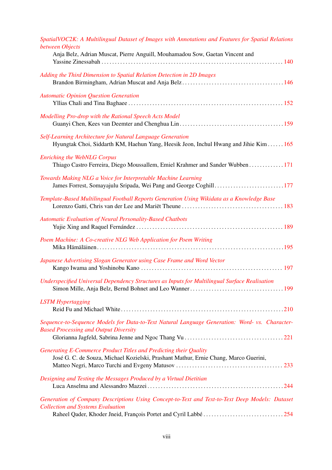| SpatialVOC2K: A Multilingual Dataset of Images with Annotations and Features for Spatial Relations<br>between Objects<br>Anja Belz, Adrian Muscat, Pierre Anguill, Mouhamadou Sow, Gaetan Vincent and        |
|--------------------------------------------------------------------------------------------------------------------------------------------------------------------------------------------------------------|
|                                                                                                                                                                                                              |
| Adding the Third Dimension to Spatial Relation Detection in 2D Images                                                                                                                                        |
| <b>Automatic Opinion Question Generation</b>                                                                                                                                                                 |
| Modelling Pro-drop with the Rational Speech Acts Model                                                                                                                                                       |
| Self-Learning Architecture for Natural Language Generation<br>Hyungtak Choi, Siddarth KM, Haehun Yang, Heesik Jeon, Inchul Hwang and Jihie Kim  165                                                          |
| <b>Enriching the WebNLG Corpus</b><br>Thiago Castro Ferreira, Diego Moussallem, Emiel Krahmer and Sander Wubben 171                                                                                          |
| Towards Making NLG a Voice for Interpretable Machine Learning<br>James Forrest, Somayajulu Sripada, Wei Pang and George Coghill177                                                                           |
| Template-Based Multilingual Football Reports Generation Using Wikidata as a Knowledge Base                                                                                                                   |
| <b>Automatic Evaluation of Neural Personality-Based Chatbots</b>                                                                                                                                             |
| Poem Machine: A Co-creative NLG Web Application for Poem Writing                                                                                                                                             |
| Japanese Advertising Slogan Generator using Case Frame and Word Vector                                                                                                                                       |
| Underspecified Universal Dependency Structures as Inputs for Multilingual Surface Realisation                                                                                                                |
| <b>LSTM</b> Hypertagging                                                                                                                                                                                     |
| Sequence-to-Sequence Models for Data-to-Text Natural Language Generation: Word- vs. Character-<br><b>Based Processing and Output Diversity</b>                                                               |
| Generating E-Commerce Product Titles and Predicting their Quality                                                                                                                                            |
| José G. C. de Souza, Michael Kozielski, Prashant Mathur, Ernie Chang, Marco Guerini,                                                                                                                         |
| Designing and Testing the Messages Produced by a Virtual Dietitian                                                                                                                                           |
| Generation of Company Descriptions Using Concept-to-Text and Text-to-Text Deep Models: Dataset<br><b>Collection and Systems Evaluation</b><br>Raheel Qader, Khoder Jneid, François Portet and Cyril Labbé254 |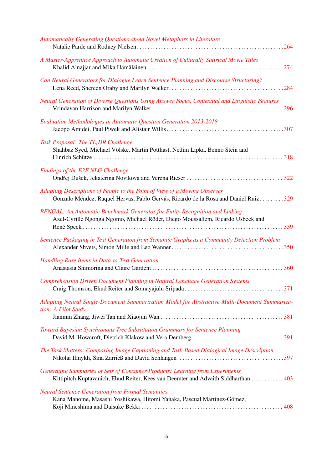| Automatically Generating Questions about Novel Metaphors in Literature                                                                                               |
|----------------------------------------------------------------------------------------------------------------------------------------------------------------------|
| A Master-Apprentice Approach to Automatic Creation of Culturally Satirical Movie Titles                                                                              |
| Can Neural Generators for Dialogue Learn Sentence Planning and Discourse Structuring?                                                                                |
| Neural Generation of Diverse Questions Using Answer Focus, Contextual and Linguistic Features                                                                        |
| <b>Evaluation Methodologies in Automatic Question Generation 2013-2018</b>                                                                                           |
| Task Proposal: The TL; DR Challenge<br>Shahbaz Syed, Michael Völske, Martin Potthast, Nedim Lipka, Benno Stein and                                                   |
| Findings of the E2E NLG Challenge                                                                                                                                    |
| Adapting Descriptions of People to the Point of View of a Moving Observer<br>Gonzalo Méndez, Raquel Hervas, Pablo Gervás, Ricardo de la Rosa and Daniel Ruiz329      |
| <b>BENGAL: An Automatic Benchmark Generator for Entity Recognition and Linking</b><br>Axel-Cyrille Ngonga Ngomo, Michael Röder, Diego Moussallem, Ricardo Usbeck and |
| Sentence Packaging in Text Generation from Semantic Graphs as a Community Detection Problem                                                                          |
| Handling Rare Items in Data-to-Text Generation                                                                                                                       |
| <b>Comprehension Driven Document Planning in Natural Language Generation Systems</b>                                                                                 |
| Adapting Neural Single-Document Summarization Model for Abstractive Multi-Document Summariza-<br>tion: A Pilot Study                                                 |
| Toward Bayesian Synchronous Tree Substitution Grammars for Sentence Planning                                                                                         |
| The Task Matters: Comparing Image Captioning and Task-Based Dialogical Image Description                                                                             |
| Generating Summaries of Sets of Consumer Products: Learning from Experiments<br>Kittipitch Kuptavanich, Ehud Reiter, Kees van Deemter and Advaith Siddharthan  403   |
| <b>Neural Sentence Generation from Formal Semantics</b><br>Kana Manome, Masashi Yoshikawa, Hitomi Yanaka, Pascual Martínez-Gómez,                                    |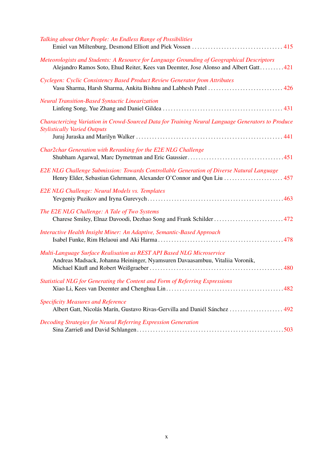| Talking about Other People: An Endless Range of Possibilities                                                                                                                     |
|-----------------------------------------------------------------------------------------------------------------------------------------------------------------------------------|
| Meteorologists and Students: A Resource for Language Grounding of Geographical Descriptors<br>Alejandro Ramos Soto, Ehud Reiter, Kees van Deemter, Jose Alonso and Albert Gatt421 |
| Cyclegen: Cyclic Consistency Based Product Review Generator from Attributes<br>Vasu Sharma, Harsh Sharma, Ankita Bishnu and Labhesh Patel  426                                    |
| Neural Transition-Based Syntactic Linearization                                                                                                                                   |
| Characterizing Variation in Crowd-Sourced Data for Training Neural Language Generators to Produce<br><b>Stylistically Varied Outputs</b>                                          |
| Char2char Generation with Reranking for the E2E NLG Challenge                                                                                                                     |
| E2E NLG Challenge Submission: Towards Controllable Generation of Diverse Natural Language<br>Henry Elder, Sebastian Gehrmann, Alexander O'Connor and Qun Liu  457                 |
| E2E NLG Challenge: Neural Models vs. Templates                                                                                                                                    |
| The E2E NLG Challenge: A Tale of Two Systems                                                                                                                                      |
| Interactive Health Insight Miner: An Adaptive, Semantic-Based Approach                                                                                                            |
| Multi-Language Surface Realisation as REST API Based NLG Microservice<br>Andreas Madsack, Johanna Heininger, Nyamsuren Davaasambuu, Vitaliia Voronik,                             |
| Statistical NLG for Generating the Content and Form of Referring Expressions                                                                                                      |
| <b>Specificity Measures and Reference</b><br>Albert Gatt, Nicolás Marín, Gustavo Rivas-Gervilla and Daniél Sánchez  492                                                           |
| Decoding Strategies for Neural Referring Expression Generation                                                                                                                    |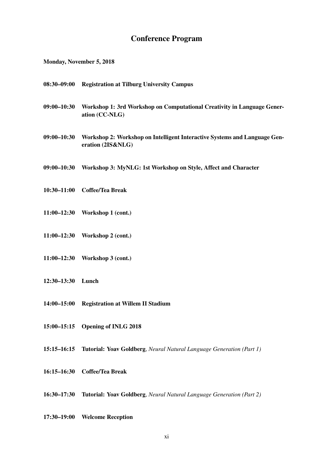# Conference Program

Monday, November 5, 2018

- 08:30–09:00 Registration at Tilburg University Campus
- 09:00–10:30 Workshop 1: 3rd Workshop on Computational Creativity in Language Generation (CC-NLG)
- 09:00–10:30 Workshop 2: Workshop on Intelligent Interactive Systems and Language Generation (2IS&NLG)
- 09:00–10:30 Workshop 3: MyNLG: 1st Workshop on Style, Affect and Character
- 10:30–11:00 Coffee/Tea Break
- 11:00–12:30 Workshop 1 (cont.)
- 11:00–12:30 Workshop 2 (cont.)
- 11:00–12:30 Workshop 3 (cont.)
- 12:30–13:30 Lunch
- 14:00–15:00 Registration at Willem II Stadium
- 15:00–15:15 Opening of INLG 2018
- 15:15–16:15 Tutorial: Yoav Goldberg, *Neural Natural Language Generation (Part 1)*
- 16:15–16:30 Coffee/Tea Break
- 16:30–17:30 Tutorial: Yoav Goldberg, *Neural Natural Language Generation (Part 2)*
- 17:30–19:00 Welcome Reception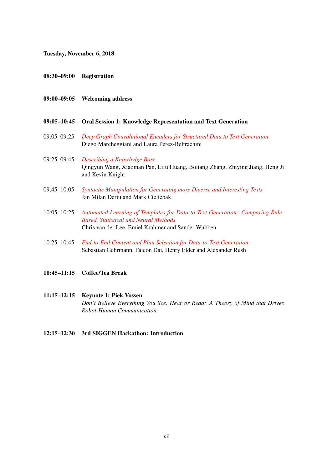Tuesday, November 6, 2018

- 08:30–09:00 Registration
- 09:00–09:05 Welcoming address
- 09:05–10:45 Oral Session 1: Knowledge Representation and Text Generation
- 09:05–09:25 *[Deep Graph Convolutional Encoders for Structured Data to Text Generation](#page-0-0)* Diego Marcheggiani and Laura Perez-Beltrachini
- 09:25–09:45 *[Describing a Knowledge Base](#page-0-0)* Qingyun Wang, Xiaoman Pan, Lifu Huang, Boliang Zhang, Zhiying Jiang, Heng Ji and Kevin Knight
- 09;45–10:05 *[Syntactic Manipulation for Generating more Diverse and Interesting Texts](#page-0-0)* Jan Milan Deriu and Mark Cieliebak
- 10:05–10:25 *[Automated Learning of Templates for Data-to-Text Generation: Comparing Rule-](#page-0-0)[Based, Statistical and Neural Methods](#page-0-0)* Chris van der Lee, Emiel Krahmer and Sander Wubben
- 10:25–10:45 *[End-to-End Content and Plan Selection for Data-to-Text Generation](#page-0-0)* Sebastian Gehrmann, Falcon Dai, Henry Elder and Alexander Rush
- 10:45–11:15 Coffee/Tea Break
- 11:15–12:15 Keynote 1: Piek Vossen *Don't Believe Everything You See, Hear or Read: A Theory of Mind that Drives Robot-Human Communication*
- 12:15–12:30 3rd SIGGEN Hackathon: Introduction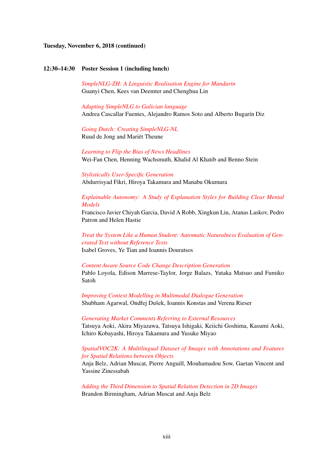### Tuesday, November 6, 2018 (continued)

### 12:30–14:30 Poster Session 1 (including lunch)

*[SimpleNLG-ZH: A Linguistic Realisation Engine for Mandarin](#page-0-0)* Guanyi Chen, Kees van Deemter and Chenghua Lin

*[Adapting SimpleNLG to Galician language](#page-0-0)* Andrea Cascallar Fuentes, Alejandro Ramos Soto and Alberto Bugarín Diz

*[Going Dutch: Creating SimpleNLG-NL](#page-0-0)* Ruud de Jong and Mariët Theune

*[Learning to Flip the Bias of News Headlines](#page-0-0)* Wei-Fan Chen, Henning Wachsmuth, Khalid Al Khatib and Benno Stein

*[Stylistically User-Specific Generation](#page-0-0)* Abdurrisyad Fikri, Hiroya Takamura and Manabu Okumura

*[Explainable Autonomy: A Study of Explanation Styles for Building Clear Mental](#page-0-0) [Models](#page-0-0)*

Francisco Javier Chiyah Garcia, David A Robb, Xingkun Liu, Atanas Laskov, Pedro Patron and Helen Hastie

*[Treat the System Like a Human Student: Automatic Naturalness Evaluation of Gen](#page-0-0)[erated Text without Reference Texts](#page-0-0)* Isabel Groves, Ye Tian and Ioannis Douratsos

*[Content Aware Source Code Change Description Generation](#page-0-0)* Pablo Loyola, Edison Marrese-Taylor, Jorge Balazs, Yutaka Matsuo and Fumiko Satoh

*[Improving Context Modelling in Multimodal Dialogue Generation](#page-0-0)* Shubham Agarwal, Ondřej Dušek, Ioannis Konstas and Verena Rieser

*[Generating Market Comments Referring to External Resources](#page-0-0)* Tatsuya Aoki, Akira Miyazawa, Tatsuya Ishigaki, Keiichi Goshima, Kasumi Aoki, Ichiro Kobayashi, Hiroya Takamura and Yusuke Miyao

# *[SpatialVOC2K: A Multilingual Dataset of Images with Annotations and Features](#page-0-0) [for Spatial Relations between Objects](#page-0-0)*

Anja Belz, Adrian Muscat, Pierre Anguill, Mouhamadou Sow, Gaetan Vincent and Yassine Zinessabah

*[Adding the Third Dimension to Spatial Relation Detection in 2D Images](#page-0-0)* Brandon Birmingham, Adrian Muscat and Anja Belz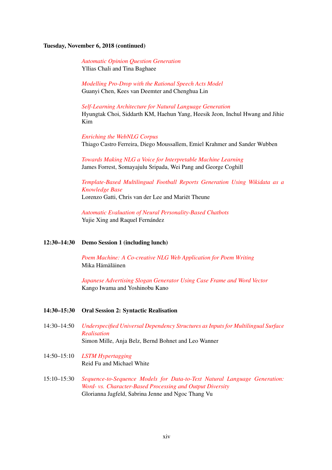# Tuesday, November 6, 2018 (continued)

*[Automatic Opinion Question Generation](#page-0-0)* Yllias Chali and Tina Baghaee

*[Modelling Pro-Drop with the Rational Speech Acts Model](#page-0-0)* Guanyi Chen, Kees van Deemter and Chenghua Lin

*[Self-Learning Architecture for Natural Language Generation](#page-0-0)* Hyungtak Choi, Siddarth KM, Haehun Yang, Heesik Jeon, Inchul Hwang and Jihie Kim

*[Enriching the WebNLG Corpus](#page-0-0)* Thiago Castro Ferreira, Diego Moussallem, Emiel Krahmer and Sander Wubben

*[Towards Making NLG a Voice for Interpretable Machine Learning](#page-0-0)* James Forrest, Somayajulu Sripada, Wei Pang and George Coghill

*[Template-Based Multilingual Football Reports Generation Using Wikidata as a](#page-0-0) [Knowledge Base](#page-0-0)* Lorenzo Gatti, Chris van der Lee and Mariët Theune

*[Automatic Evaluation of Neural Personality-Based Chatbots](#page-0-0)* Yujie Xing and Raquel Fernández

#### 12:30–14:30 Demo Session 1 (including lunch)

*[Poem Machine: A Co-creative NLG Web Application for Poem Writing](#page-0-0)* Mika Hämäläinen

*[Japanese Advertising Slogan Generator Using Case Frame and Word Vector](#page-0-0)* Kango Iwama and Yoshinobu Kano

### 14:30–15:30 Oral Session 2: Syntactic Realisation

- 14:30–14:50 *[Underspecified Universal Dependency Structures as Inputs for Multilingual Surface](#page-0-0) [Realisation](#page-0-0)* Simon Mille, Anja Belz, Bernd Bohnet and Leo Wanner
- 14:50–15:10 *[LSTM Hypertagging](#page-0-0)* Reid Fu and Michael White
- 15:10–15:30 *[Sequence-to-Sequence Models for Data-to-Text Natural Language Generation:](#page-0-0) [Word- vs. Character-Based Processing and Output Diversity](#page-0-0)* Glorianna Jagfeld, Sabrina Jenne and Ngoc Thang Vu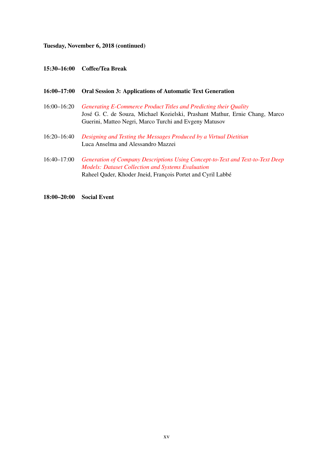# Tuesday, November 6, 2018 (continued)

# 15:30–16:00 Coffee/Tea Break

| $16:00 - 17:00$ | <b>Oral Session 3: Applications of Automatic Text Generation</b>                                                                                                                                           |
|-----------------|------------------------------------------------------------------------------------------------------------------------------------------------------------------------------------------------------------|
| $16:00 - 16:20$ | Generating E-Commerce Product Titles and Predicting their Quality<br>José G. C. de Souza, Michael Kozielski, Prashant Mathur, Ernie Chang, Marco<br>Guerini, Matteo Negri, Marco Turchi and Evgeny Matusov |
| $16:20 - 16:40$ | Designing and Testing the Messages Produced by a Virtual Dietitian<br>Luca Anselma and Alessandro Mazzei                                                                                                   |
| $16:40 - 17:00$ | Generation of Company Descriptions Using Concept-to-Text and Text-to-Text Deep<br><b>Models: Dataset Collection and Systems Evaluation</b><br>Raheel Qader, Khoder Jneid, François Portet and Cyril Labbé  |

18:00–20:00 Social Event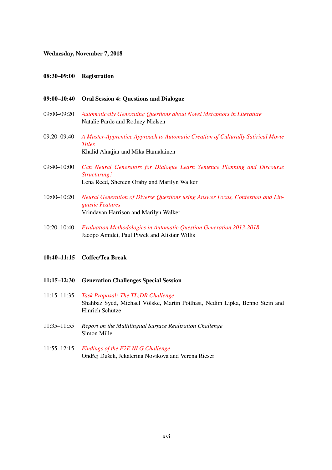### Wednesday, November 7, 2018

### 08:30–09:00 Registration

### 09:00–10:40 Oral Session 4: Questions and Dialogue

- 09:00–09:20 *[Automatically Generating Questions about Novel Metaphors in Literature](#page-0-0)* Natalie Parde and Rodney Nielsen
- 09:20–09:40 *[A Master-Apprentice Approach to Automatic Creation of Culturally Satirical Movie](#page-0-0) [Titles](#page-0-0)* Khalid Alnajjar and Mika Hämäläinen
- 09:40–10:00 *[Can Neural Generators for Dialogue Learn Sentence Planning and Discourse](#page-0-0) [Structuring?](#page-0-0)* Lena Reed, Shereen Oraby and Marilyn Walker
- 10:00–10:20 *[Neural Generation of Diverse Questions using Answer Focus, Contextual and Lin](#page-0-0)[guistic Features](#page-0-0)* Vrindavan Harrison and Marilyn Walker
- 10:20–10:40 *[Evaluation Methodologies in Automatic Question Generation 2013-2018](#page-0-0)* Jacopo Amidei, Paul Piwek and Alistair Willis

# 10:40–11:15 Coffee/Tea Break

- 11:15–12:30 Generation Challenges Special Session
- 11:15–11:35 *[Task Proposal: The TL;DR Challenge](#page-0-0)* Shahbaz Syed, Michael Völske, Martin Potthast, Nedim Lipka, Benno Stein and Hinrich Schütze
- 11:35–11:55 *Report on the Multilingual Surface Realization Challenge* Simon Mille
- 11:55–12:15 *[Findings of the E2E NLG Challenge](#page-0-0)* Ondřej Dušek, Jekaterina Novikova and Verena Rieser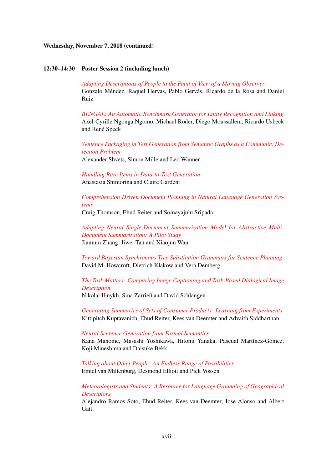### Wednesday, November 7, 2018 (continued)

#### 12:30–14:30 Poster Session 2 (including lunch)

*[Adapting Descriptions of People to the Point of View of a Moving Observer](#page-0-0)* Gonzalo Méndez, Raquel Hervas, Pablo Gervás, Ricardo de la Rosa and Daniel Ruiz

*[BENGAL: An Automatic Benchmark Generator for Entity Recognition and Linking](#page-0-0)* Axel-Cyrille Ngonga Ngomo, Michael Röder, Diego Moussallem, Ricardo Usbeck and René Speck

*[Sentence Packaging in Text Generation from Semantic Graphs as a Community De](#page-0-0)[tection Problem](#page-0-0)* Alexander Shvets, Simon Mille and Leo Wanner

*[Handling Rare Items in Data-to-Text Generation](#page-0-0)* Anastasia Shimorina and Claire Gardent

*[Comprehension Driven Document Planning in Natural Language Generation Sys](#page-0-0)[tems](#page-0-0)*

Craig Thomson, Ehud Reiter and Somayajulu Sripada

*[Adapting Neural Single-Document Summarization Model for Abstractive Multi-](#page-0-0)[Document Summarization: A Pilot Study](#page-0-0)* Jianmin Zhang, Jiwei Tan and Xiaojun Wan

*[Toward Bayesian Synchronous Tree Substitution Grammars for Sentence Planning](#page-0-0)* David M. Howcroft, Dietrich Klakow and Vera Demberg

*[The Task Matters: Comparing Image Captioning and Task-Based Dialogical Image](#page-0-0) [Description](#page-0-0)*

Nikolai Ilinykh, Sina Zarrieß and David Schlangen

*[Generating Summaries of Sets of Consumer Products: Learning from Experiments](#page-0-0)* Kittipitch Kuptavanich, Ehud Reiter, Kees van Deemter and Advaith Siddharthan

*[Neural Sentence Generation from Formal Semantics](#page-0-0)* Kana Manome, Masashi Yoshikawa, Hitomi Yanaka, Pascual Martínez-Gómez, Koji Mineshima and Daisuke Bekki

*[Talking about Other People: An Endless Range of Possibilities](#page-0-0)* Emiel van Miltenburg, Desmond Elliott and Piek Vossen

*[Meteorologists and Students: A Resource for Language Grounding of Geographical](#page-0-0) [Descriptors](#page-0-0)*

Alejandro Ramos Soto, Ehud Reiter, Kees van Deemter, Jose Alonso and Albert **Gatt**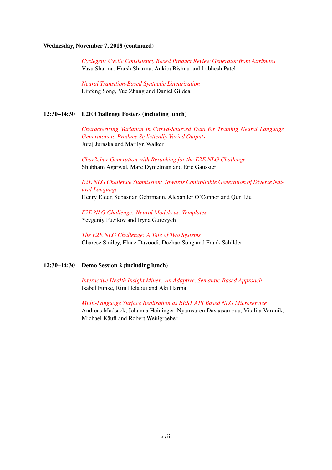# Wednesday, November 7, 2018 (continued)

*[Cyclegen: Cyclic Consistency Based Product Review Generator from Attributes](#page-0-0)* Vasu Sharma, Harsh Sharma, Ankita Bishnu and Labhesh Patel

*[Neural Transition-Based Syntactic Linearization](#page-0-0)* Linfeng Song, Yue Zhang and Daniel Gildea

## 12:30–14:30 E2E Challenge Posters (including lunch)

*[Characterizing Variation in Crowd-Sourced Data for Training Neural Language](#page-0-0) [Generators to Produce Stylistically Varied Outputs](#page-0-0)* Juraj Juraska and Marilyn Walker

*[Char2char Generation with Reranking for the E2E NLG Challenge](#page-0-0)* Shubham Agarwal, Marc Dymetman and Eric Gaussier

*[E2E NLG Challenge Submission: Towards Controllable Generation of Diverse Nat](#page-0-0)[ural Language](#page-0-0)* Henry Elder, Sebastian Gehrmann, Alexander O'Connor and Qun Liu

*[E2E NLG Challenge: Neural Models vs. Templates](#page-0-0)* Yevgeniy Puzikov and Iryna Gurevych

*[The E2E NLG Challenge: A Tale of Two Systems](#page-0-0)* Charese Smiley, Elnaz Davoodi, Dezhao Song and Frank Schilder

# 12:30–14:30 Demo Session 2 (including lunch)

*[Interactive Health Insight Miner: An Adaptive, Semantic-Based Approach](#page-0-0)* Isabel Funke, Rim Helaoui and Aki Harma

*[Multi-Language Surface Realisation as REST API Based NLG Microservice](#page-0-0)* Andreas Madsack, Johanna Heininger, Nyamsuren Davaasambuu, Vitaliia Voronik, Michael Käufl and Robert Weißgraeber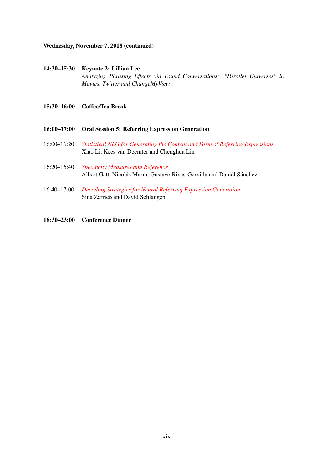### Wednesday, November 7, 2018 (continued)

# 14:30–15:30 Keynote 2: Lillian Lee *Analyzing Phrasing Effects via Found Conversations: "Parallel Universes" in Movies, Twitter and ChangeMyView*

- 15:30–16:00 Coffee/Tea Break
- 16:00–17:00 Oral Session 5: Referring Expression Generation
- 16:00–16:20 *[Statistical NLG for Generating the Content and Form of Referring Expressions](#page-0-0)* Xiao Li, Kees van Deemter and Chenghua Lin
- 16:20–16:40 *[Specificity Measures and Reference](#page-0-0)* Albert Gatt, Nicolás Marín, Gustavo Rivas-Gervilla and Daniél Sánchez
- 16:40–17:00 *[Decoding Strategies for Neural Referring Expression Generation](#page-0-0)* Sina Zarrieß and David Schlangen
- 18:30–23:00 Conference Dinner